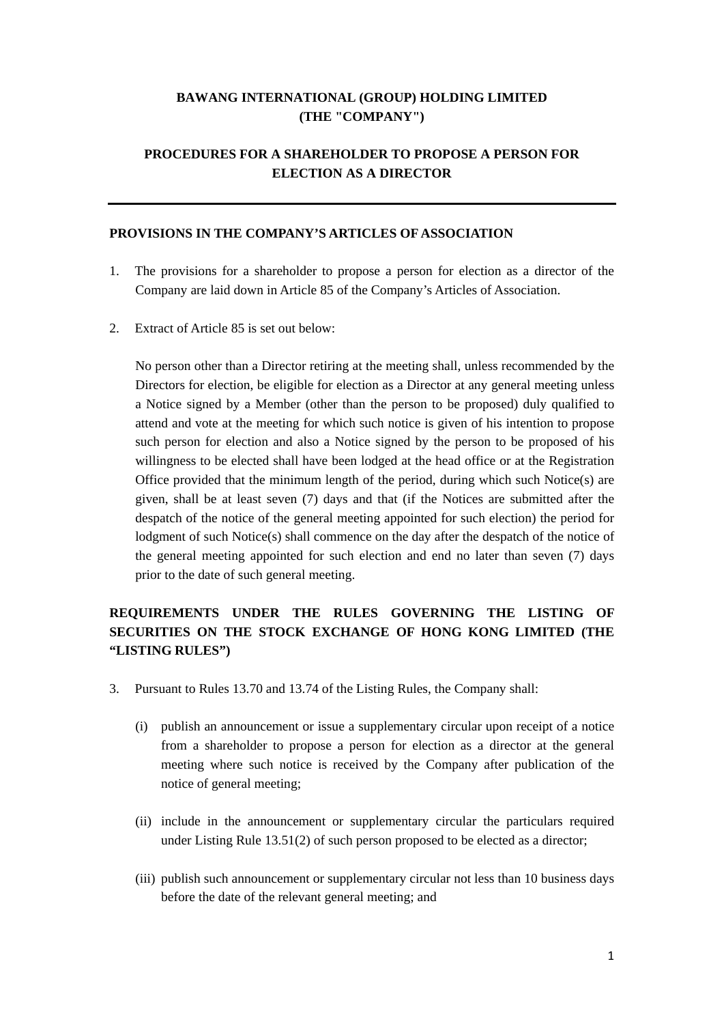## **BAWANG INTERNATIONAL (GROUP) HOLDING LIMITED (THE "COMPANY")**

## **PROCEDURES FOR A SHAREHOLDER TO PROPOSE A PERSON FOR ELECTION AS A DIRECTOR**

#### **PROVISIONS IN THE COMPANY'S ARTICLES OF ASSOCIATION**

- 1. The provisions for a shareholder to propose a person for election as a director of the Company are laid down in Article 85 of the Company's Articles of Association.
- 2. Extract of Article 85 is set out below:

No person other than a Director retiring at the meeting shall, unless recommended by the Directors for election, be eligible for election as a Director at any general meeting unless a Notice signed by a Member (other than the person to be proposed) duly qualified to attend and vote at the meeting for which such notice is given of his intention to propose such person for election and also a Notice signed by the person to be proposed of his willingness to be elected shall have been lodged at the head office or at the Registration Office provided that the minimum length of the period, during which such Notice(s) are given, shall be at least seven (7) days and that (if the Notices are submitted after the despatch of the notice of the general meeting appointed for such election) the period for lodgment of such Notice(s) shall commence on the day after the despatch of the notice of the general meeting appointed for such election and end no later than seven (7) days prior to the date of such general meeting.

# **REQUIREMENTS UNDER THE RULES GOVERNING THE LISTING OF SECURITIES ON THE STOCK EXCHANGE OF HONG KONG LIMITED (THE "LISTING RULES")**

- 3. Pursuant to Rules 13.70 and 13.74 of the Listing Rules, the Company shall:
	- (i) publish an announcement or issue a supplementary circular upon receipt of a notice from a shareholder to propose a person for election as a director at the general meeting where such notice is received by the Company after publication of the notice of general meeting;
	- (ii) include in the announcement or supplementary circular the particulars required under Listing Rule 13.51(2) of such person proposed to be elected as a director;
	- (iii) publish such announcement or supplementary circular not less than 10 business days before the date of the relevant general meeting; and